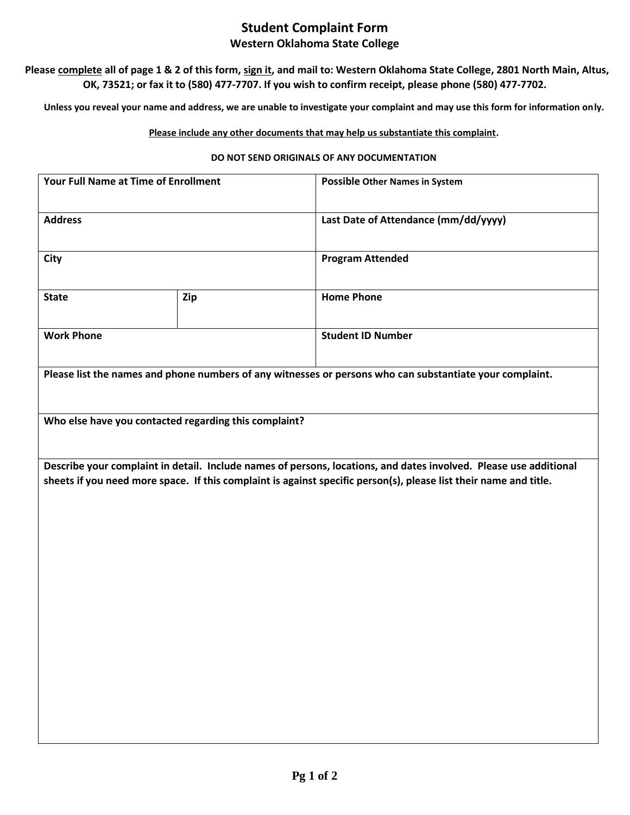## **Student Complaint Form Western Oklahoma State College**

**Please complete all of page 1 & 2 of this form, sign it, and mail to: Western Oklahoma State College, 2801 North Main, Altus, OK, 73521; or fax it to (580) 477-7707. If you wish to confirm receipt, please phone (580) 477-7702.**

**Unless you reveal your name and address, we are unable to investigate your complaint and may use this form for information only.** 

## **Please include any other documents that may help us substantiate this complaint.**

## **DO NOT SEND ORIGINALS OF ANY DOCUMENTATION**

|                                                                                                                                                                                                                                        | <b>Possible Other Names in System</b> |
|----------------------------------------------------------------------------------------------------------------------------------------------------------------------------------------------------------------------------------------|---------------------------------------|
|                                                                                                                                                                                                                                        | Last Date of Attendance (mm/dd/yyyy)  |
|                                                                                                                                                                                                                                        | <b>Program Attended</b>               |
| Zip                                                                                                                                                                                                                                    | <b>Home Phone</b>                     |
|                                                                                                                                                                                                                                        | <b>Student ID Number</b>              |
| Please list the names and phone numbers of any witnesses or persons who can substantiate your complaint.                                                                                                                               |                                       |
| Who else have you contacted regarding this complaint?                                                                                                                                                                                  |                                       |
| Describe your complaint in detail. Include names of persons, locations, and dates involved. Please use additional<br>sheets if you need more space. If this complaint is against specific person(s), please list their name and title. |                                       |
|                                                                                                                                                                                                                                        |                                       |